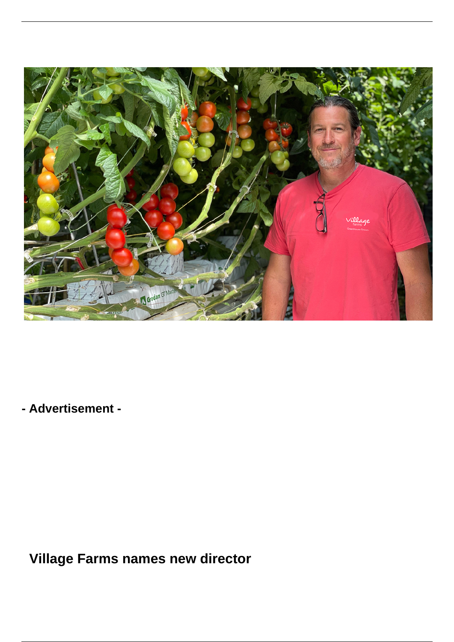

**- Advertisement -**

 **Village Farms names new director**